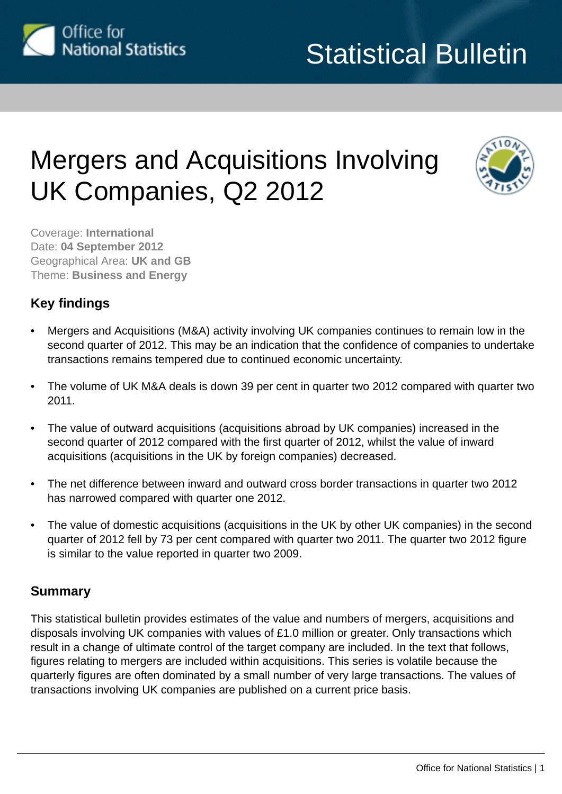

# Mergers and Acquisitions Involving UK Companies, Q2 2012



Coverage: **International** Date: **04 September 2012** Geographical Area: **UK and GB** Theme: **Business and Energy**

# **Key findings**

- Mergers and Acquisitions (M&A) activity involving UK companies continues to remain low in the second quarter of 2012. This may be an indication that the confidence of companies to undertake transactions remains tempered due to continued economic uncertainty.
- The volume of UK M&A deals is down 39 per cent in quarter two 2012 compared with quarter two 2011.
- The value of outward acquisitions (acquisitions abroad by UK companies) increased in the second quarter of 2012 compared with the first quarter of 2012, whilst the value of inward acquisitions (acquisitions in the UK by foreign companies) decreased.
- The net difference between inward and outward cross border transactions in quarter two 2012 has narrowed compared with quarter one 2012.
- The value of domestic acquisitions (acquisitions in the UK by other UK companies) in the second quarter of 2012 fell by 73 per cent compared with quarter two 2011. The quarter two 2012 figure is similar to the value reported in quarter two 2009.

# **Summary**

This statistical bulletin provides estimates of the value and numbers of mergers, acquisitions and disposals involving UK companies with values of £1.0 million or greater. Only transactions which result in a change of ultimate control of the target company are included. In the text that follows, figures relating to mergers are included within acquisitions. This series is volatile because the quarterly figures are often dominated by a small number of very large transactions. The values of transactions involving UK companies are published on a current price basis.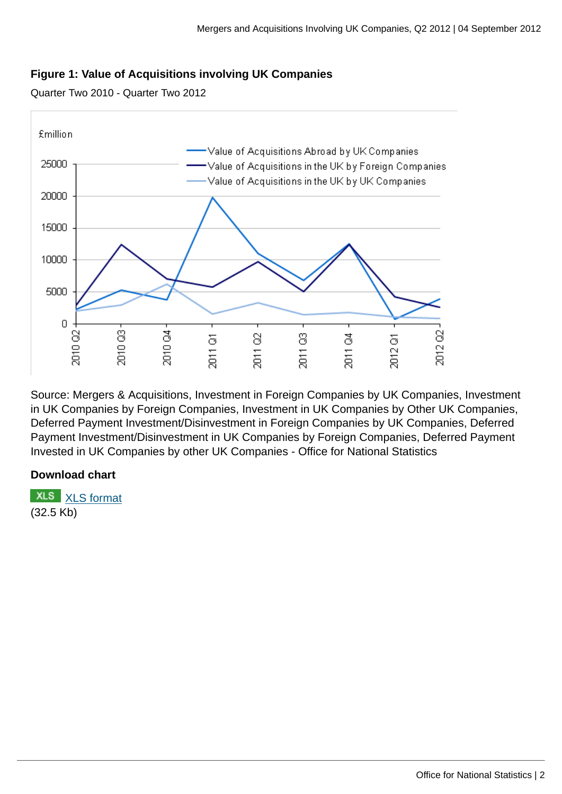# **Figure 1: Value of Acquisitions involving UK Companies**

Quarter Two 2010 - Quarter Two 2012



Source: Mergers & Acquisitions, Investment in Foreign Companies by UK Companies, Investment in UK Companies by Foreign Companies, Investment in UK Companies by Other UK Companies, Deferred Payment Investment/Disinvestment in Foreign Companies by UK Companies, Deferred Payment Investment/Disinvestment in UK Companies by Foreign Companies, Deferred Payment Invested in UK Companies by other UK Companies - Office for National Statistics

# **Download chart**

**XLS** [XLS format](http://www.ons.gov.uk:80/ons/rel/international-transactions/mergers-and-acquisitions-involving-uk-companies/q2-2012/chd-qtrly-acqu-time-series.xls) (32.5 Kb)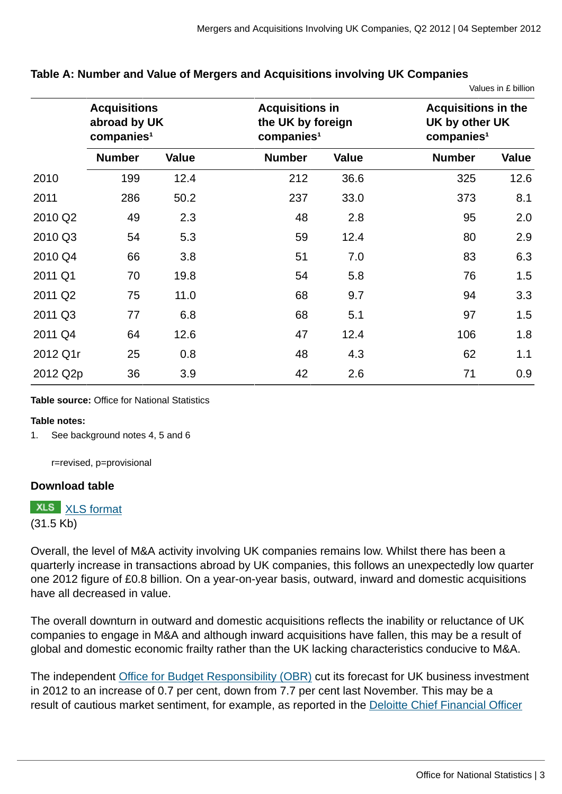## **Table A: Number and Value of Mergers and Acquisitions involving UK Companies**

|         |                                                               |              |                                                                       |              |               | Values in £ billion                                                    |  |
|---------|---------------------------------------------------------------|--------------|-----------------------------------------------------------------------|--------------|---------------|------------------------------------------------------------------------|--|
|         | <b>Acquisitions</b><br>abroad by UK<br>companies <sup>1</sup> |              | <b>Acquisitions in</b><br>the UK by foreign<br>comparies <sup>1</sup> |              |               | <b>Acquisitions in the</b><br>UK by other UK<br>companies <sup>1</sup> |  |
|         | <b>Number</b>                                                 | <b>Value</b> | <b>Number</b>                                                         | <b>Value</b> | <b>Number</b> | <b>Value</b>                                                           |  |
| 2010    | 199                                                           | 12.4         | 212                                                                   | 36.6         | 325           | 12.6                                                                   |  |
| 2011    | 286                                                           | 50.2         | 237                                                                   | 33.0         | 373           | 8.1                                                                    |  |
| 2010 Q2 | 49                                                            | 2.3          | 48                                                                    | 2.8          | 95            | 2.0                                                                    |  |
| 2010 Q3 | 54                                                            | 5.3          | 59                                                                    | 12.4         | 80            | 2.9                                                                    |  |
| 2010 Q4 | 66                                                            | 3.8          | 51                                                                    | 7.0          | 83            | 6.3                                                                    |  |
| 2011 Q1 | 70                                                            | 19.8         | 54                                                                    | 5.8          | 76            | 1.5                                                                    |  |
| 2011 Q2 | 75                                                            | 11.0         | 68                                                                    | 9.7          | 94            | 3.3                                                                    |  |
| 2011 Q3 | 77                                                            | 6.8          | 68                                                                    | 5.1          | 97            | 1.5                                                                    |  |

2011 Q4 64 12.6 47 12.4 106 1.8

2012 Q1r 25 0.8 48 4.3 62 1.1

2012 Q2p 36 3.9 42 2.6 71 0.9

**Table source:** Office for National Statistics

#### **Table notes:**

1. See background notes 4, 5 and 6

r=revised, p=provisional

#### **Download table**

**XLS** [XLS format](http://www.ons.gov.uk:80/ons/rel/international-transactions/mergers-and-acquisitions-involving-uk-companies/q2-2012/prt-ma-summary.xls)

(31.5 Kb)

Overall, the level of M&A activity involving UK companies remains low. Whilst there has been a quarterly increase in transactions abroad by UK companies, this follows an unexpectedly low quarter one 2012 figure of £0.8 billion. On a year-on-year basis, outward, inward and domestic acquisitions have all decreased in value.

The overall downturn in outward and domestic acquisitions reflects the inability or reluctance of UK companies to engage in M&A and although inward acquisitions have fallen, this may be a result of global and domestic economic frailty rather than the UK lacking characteristics conducive to M&A.

The independent [Office for Budget Responsibility \(OBR\)](http://www.ons.gov.uk:80/ons/external-links/other-government-departments/obr/obr-forecasts.html) cut its forecast for UK business investment in 2012 to an increase of 0.7 per cent, down from 7.7 per cent last November. This may be a result of cautious market sentiment, for example, as reported in the [Deloitte Chief Financial Officer](http://www.ons.gov.uk:80/ons/external-links/other/deloitte-cfo-survey.html)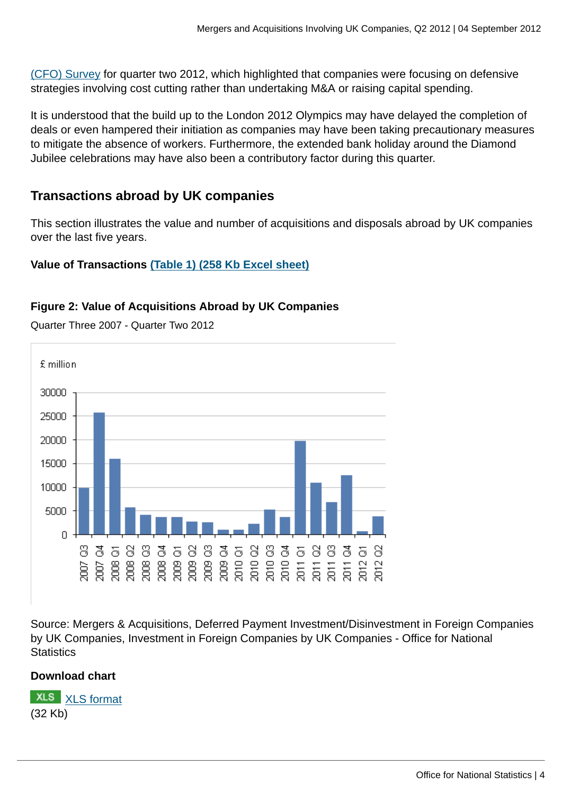[\(CFO\) Survey](http://www.ons.gov.uk:80/ons/external-links/other/deloitte-cfo-survey.html) for quarter two 2012, which highlighted that companies were focusing on defensive strategies involving cost cutting rather than undertaking M&A or raising capital spending.

It is understood that the build up to the London 2012 Olympics may have delayed the completion of deals or even hampered their initiation as companies may have been taking precautionary measures to mitigate the absence of workers. Furthermore, the extended bank holiday around the Diamond Jubilee celebrations may have also been a contributory factor during this quarter.

# **Transactions abroad by UK companies**

This section illustrates the value and number of acquisitions and disposals abroad by UK companies over the last five years.

# **Value of Transactions [\(Table 1\) \(258 Kb Excel sheet\)](http://www.ons.gov.uk:80/ons/rel/international-transactions/mergers-and-acquisitions-involving-uk-companies/q2-2012/rft-tables-1-10.xls)**

# **Figure 2: Value of Acquisitions Abroad by UK Companies**

£ million 30000 25000 20000 15000 10000 5000 0 គមខេមទេមទេមទេមទេមទេម<br>ខ្លួខខេមទេខទេមទេមទេមទេ<br>ដូនី ខ្លួនី ខ្លួនី ខ្លួនី មន្ត្រី ខ្លួនី ខ្លួន ತೆ ಕರ 8 ğņ ğ,

Quarter Three 2007 - Quarter Two 2012

Source: Mergers & Acquisitions, Deferred Payment Investment/Disinvestment in Foreign Companies by UK Companies, Investment in Foreign Companies by UK Companies - Office for National **Statistics** 

# **Download chart**

**XLS** [XLS format](http://www.ons.gov.uk:80/ons/rel/international-transactions/mergers-and-acquisitions-involving-uk-companies/q2-2012/chd-outward-values.xls) (32 Kb)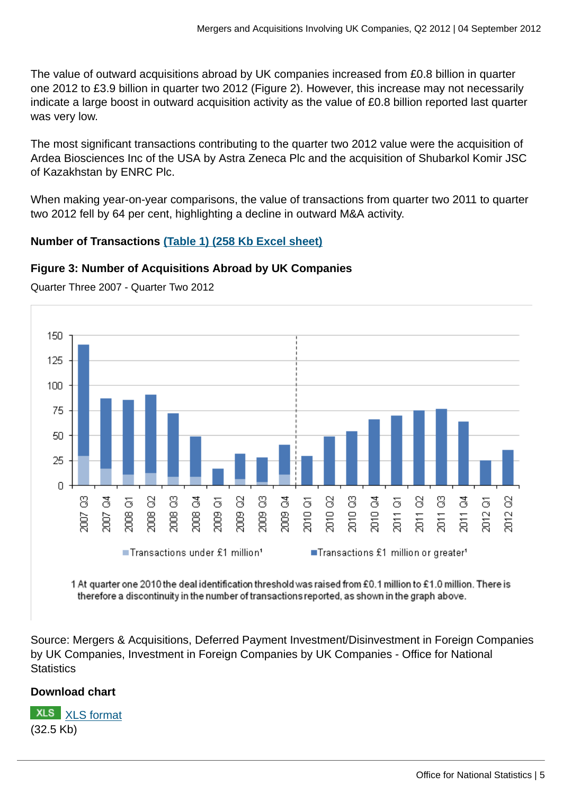The value of outward acquisitions abroad by UK companies increased from £0.8 billion in quarter one 2012 to £3.9 billion in quarter two 2012 (Figure 2). However, this increase may not necessarily indicate a large boost in outward acquisition activity as the value of £0.8 billion reported last quarter was very low.

The most significant transactions contributing to the quarter two 2012 value were the acquisition of Ardea Biosciences Inc of the USA by Astra Zeneca Plc and the acquisition of Shubarkol Komir JSC of Kazakhstan by ENRC Plc.

When making year-on-year comparisons, the value of transactions from quarter two 2011 to quarter two 2012 fell by 64 per cent, highlighting a decline in outward M&A activity.

# **Number of Transactions [\(Table 1\) \(258 Kb Excel sheet\)](http://www.ons.gov.uk:80/ons/rel/international-transactions/mergers-and-acquisitions-involving-uk-companies/q2-2012/rft-tables-1-10.xls)**

# **Figure 3: Number of Acquisitions Abroad by UK Companies**



Quarter Three 2007 - Quarter Two 2012

1 At quarter one 2010 the deal identification threshold was raised from £0.1 million to £1.0 million. There is therefore a discontinuity in the number of transactions reported, as shown in the graph above.

Source: Mergers & Acquisitions, Deferred Payment Investment/Disinvestment in Foreign Companies by UK Companies, Investment in Foreign Companies by UK Companies - Office for National **Statistics** 

# **Download chart**

**XLS** [XLS format](http://www.ons.gov.uk:80/ons/rel/international-transactions/mergers-and-acquisitions-involving-uk-companies/q2-2012/chd-outward-numbers.xls) (32.5 Kb)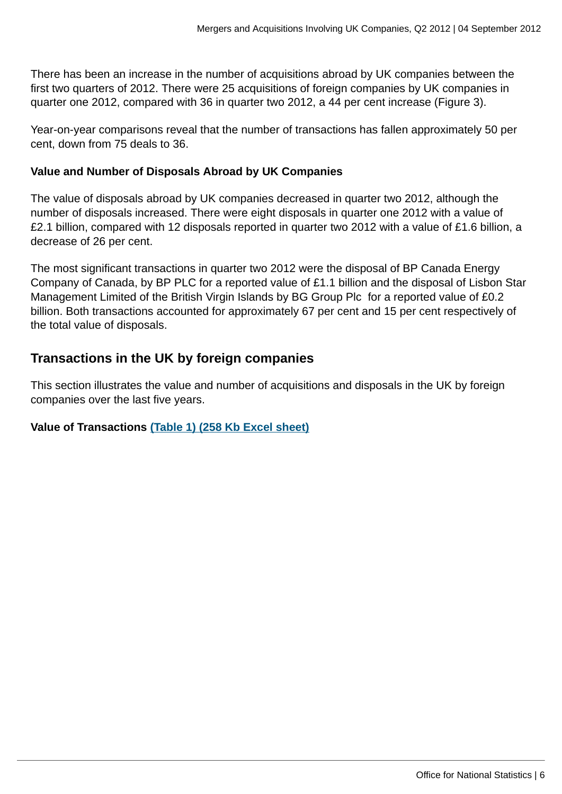There has been an increase in the number of acquisitions abroad by UK companies between the first two quarters of 2012. There were 25 acquisitions of foreign companies by UK companies in quarter one 2012, compared with 36 in quarter two 2012, a 44 per cent increase (Figure 3).

Year-on-year comparisons reveal that the number of transactions has fallen approximately 50 per cent, down from 75 deals to 36.

# **Value and Number of Disposals Abroad by UK Companies**

The value of disposals abroad by UK companies decreased in quarter two 2012, although the number of disposals increased. There were eight disposals in quarter one 2012 with a value of £2.1 billion, compared with 12 disposals reported in quarter two 2012 with a value of £1.6 billion, a decrease of 26 per cent.

The most significant transactions in quarter two 2012 were the disposal of BP Canada Energy Company of Canada, by BP PLC for a reported value of £1.1 billion and the disposal of Lisbon Star Management Limited of the British Virgin Islands by BG Group Plc for a reported value of £0.2 billion. Both transactions accounted for approximately 67 per cent and 15 per cent respectively of the total value of disposals.

# **Transactions in the UK by foreign companies**

This section illustrates the value and number of acquisitions and disposals in the UK by foreign companies over the last five years.

# **Value of Transactions [\(Table 1\) \(258 Kb Excel sheet\)](http://www.ons.gov.uk:80/ons/rel/international-transactions/mergers-and-acquisitions-involving-uk-companies/q2-2012/rft-tables-1-10.xls)**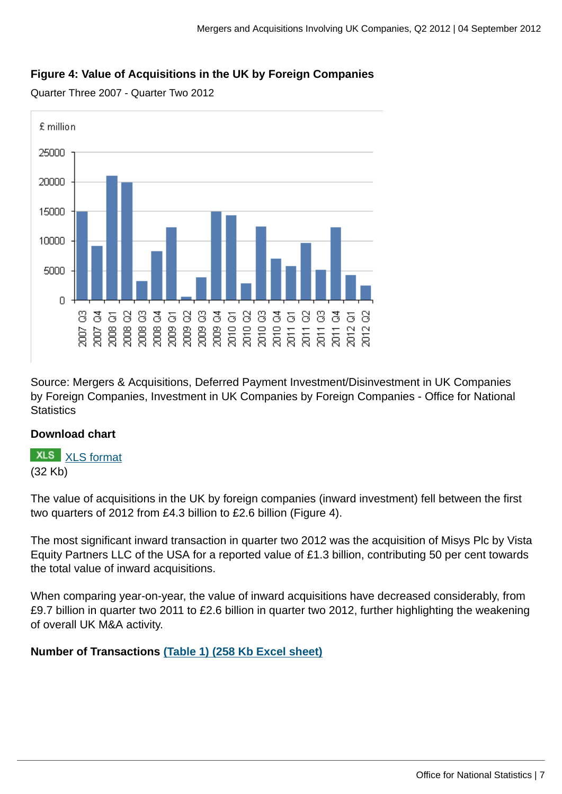# **Figure 4: Value of Acquisitions in the UK by Foreign Companies**

Quarter Three 2007 - Quarter Two 2012



Source: Mergers & Acquisitions, Deferred Payment Investment/Disinvestment in UK Companies by Foreign Companies, Investment in UK Companies by Foreign Companies - Office for National **Statistics** 

# **Download chart**

**XLS** [XLS format](http://www.ons.gov.uk:80/ons/rel/international-transactions/mergers-and-acquisitions-involving-uk-companies/q2-2012/chd-inward-values.xls) (32 Kb)

The value of acquisitions in the UK by foreign companies (inward investment) fell between the first two quarters of 2012 from £4.3 billion to £2.6 billion (Figure 4).

The most significant inward transaction in quarter two 2012 was the acquisition of Misys Plc by Vista Equity Partners LLC of the USA for a reported value of £1.3 billion, contributing 50 per cent towards the total value of inward acquisitions.

When comparing year-on-year, the value of inward acquisitions have decreased considerably, from £9.7 billion in quarter two 2011 to £2.6 billion in quarter two 2012, further highlighting the weakening of overall UK M&A activity.

**Number of Transactions [\(Table 1\) \(258 Kb Excel sheet\)](http://www.ons.gov.uk:80/ons/rel/international-transactions/mergers-and-acquisitions-involving-uk-companies/q2-2012/rft-tables-1-10.xls)**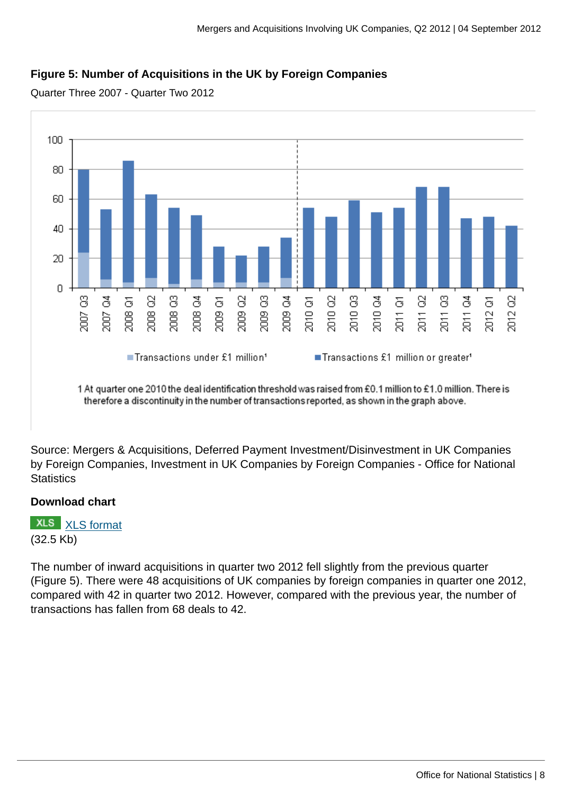# **Figure 5: Number of Acquisitions in the UK by Foreign Companies**

Quarter Three 2007 - Quarter Two 2012



Source: Mergers & Acquisitions, Deferred Payment Investment/Disinvestment in UK Companies by Foreign Companies, Investment in UK Companies by Foreign Companies - Office for National **Statistics** 

# **Download chart**

**XLS** [XLS format](http://www.ons.gov.uk:80/ons/rel/international-transactions/mergers-and-acquisitions-involving-uk-companies/q2-2012/chd-inward-numbers.xls) (32.5 Kb)

The number of inward acquisitions in quarter two 2012 fell slightly from the previous quarter (Figure 5). There were 48 acquisitions of UK companies by foreign companies in quarter one 2012, compared with 42 in quarter two 2012. However, compared with the previous year, the number of transactions has fallen from 68 deals to 42.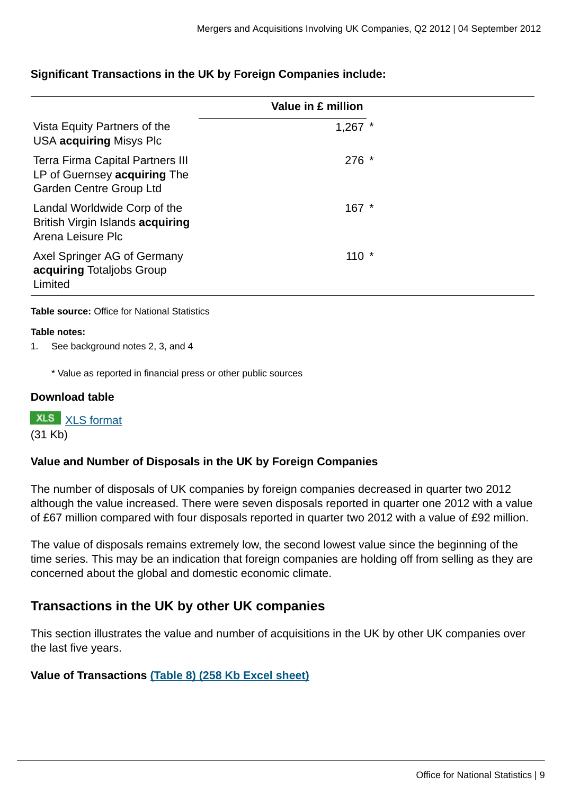# **Significant Transactions in the UK by Foreign Companies include:**

|                                                                                             | Value in £ million |
|---------------------------------------------------------------------------------------------|--------------------|
| Vista Equity Partners of the<br>USA acquiring Misys Plc                                     | $1,267$ *          |
| Terra Firma Capital Partners III<br>LP of Guernsey acquiring The<br>Garden Centre Group Ltd | $276 *$            |
| Landal Worldwide Corp of the<br>British Virgin Islands acquiring<br>Arena Leisure Plc       | $167 *$            |
| Axel Springer AG of Germany<br>acquiring Totaljobs Group<br>Limited                         | $110 *$            |

#### **Table source:** Office for National Statistics

#### **Table notes:**

1. See background notes 2, 3, and 4

\* Value as reported in financial press or other public sources

#### **Download table**

**XLS** [XLS format](http://www.ons.gov.uk:80/ons/rel/international-transactions/mergers-and-acquisitions-involving-uk-companies/q2-2012/prt-significant-inward.xls) (31 Kb)

# **Value and Number of Disposals in the UK by Foreign Companies**

The number of disposals of UK companies by foreign companies decreased in quarter two 2012 although the value increased. There were seven disposals reported in quarter one 2012 with a value of £67 million compared with four disposals reported in quarter two 2012 with a value of £92 million.

The value of disposals remains extremely low, the second lowest value since the beginning of the time series. This may be an indication that foreign companies are holding off from selling as they are concerned about the global and domestic economic climate.

# **Transactions in the UK by other UK companies**

This section illustrates the value and number of acquisitions in the UK by other UK companies over the last five years.

# **Value of Transactions [\(Table 8\) \(258 Kb Excel sheet\)](http://www.ons.gov.uk:80/ons/rel/international-transactions/mergers-and-acquisitions-involving-uk-companies/q2-2012/rft-tables-1-10.xls)**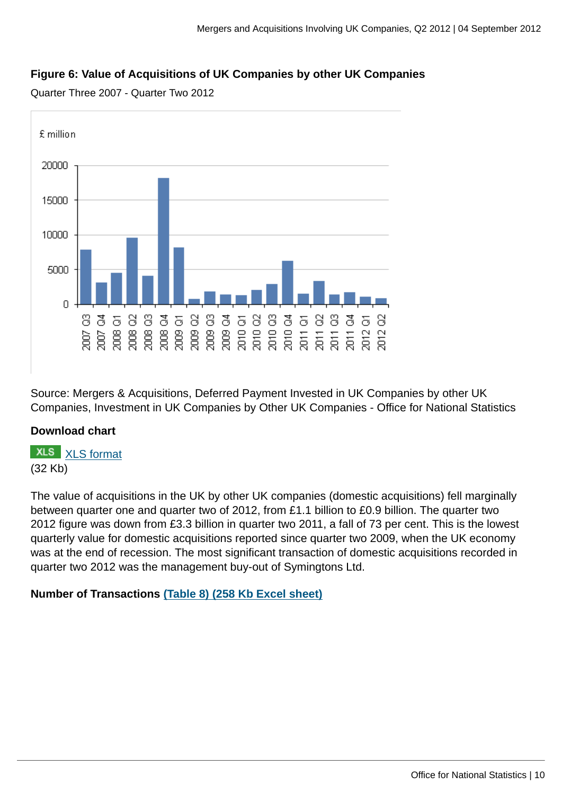# **Figure 6: Value of Acquisitions of UK Companies by other UK Companies**

Quarter Three 2007 - Quarter Two 2012



Source: Mergers & Acquisitions, Deferred Payment Invested in UK Companies by other UK Companies, Investment in UK Companies by Other UK Companies - Office for National Statistics

# **Download chart**

**XLS** [XLS format](http://www.ons.gov.uk:80/ons/rel/international-transactions/mergers-and-acquisitions-involving-uk-companies/q2-2012/chd-domestic-values.xls) (32 Kb)

The value of acquisitions in the UK by other UK companies (domestic acquisitions) fell marginally between quarter one and quarter two of 2012, from £1.1 billion to £0.9 billion. The quarter two 2012 figure was down from £3.3 billion in quarter two 2011, a fall of 73 per cent. This is the lowest quarterly value for domestic acquisitions reported since quarter two 2009, when the UK economy was at the end of recession. The most significant transaction of domestic acquisitions recorded in quarter two 2012 was the management buy-out of Symingtons Ltd.

**Number of Transactions [\(Table 8\) \(258 Kb Excel sheet\)](http://www.ons.gov.uk:80/ons/rel/international-transactions/mergers-and-acquisitions-involving-uk-companies/q2-2012/rft-tables-1-10.xls)**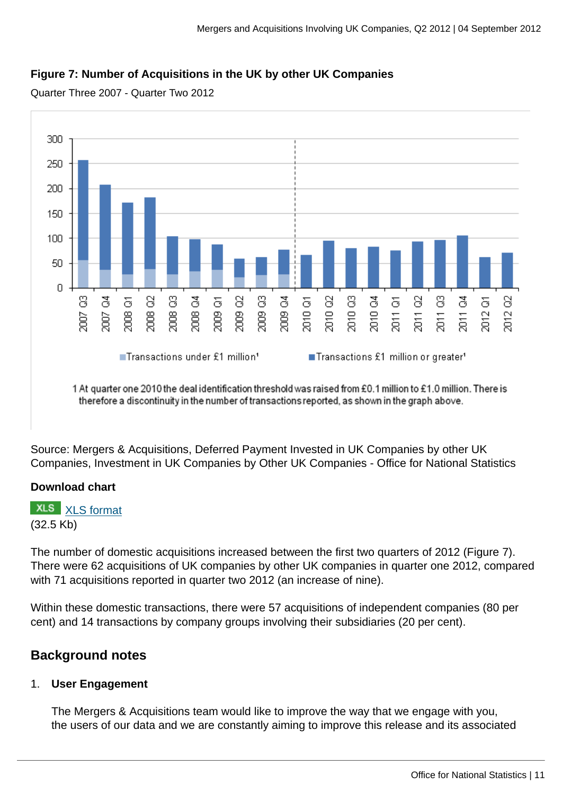# **Figure 7: Number of Acquisitions in the UK by other UK Companies**

Quarter Three 2007 - Quarter Two 2012



1 At quarter one 2010 the deal identification threshold was raised from £0.1 million to £1.0 million. There is therefore a discontinuity in the number of transactions reported, as shown in the graph above.

Source: Mergers & Acquisitions, Deferred Payment Invested in UK Companies by other UK Companies, Investment in UK Companies by Other UK Companies - Office for National Statistics

# **Download chart**

**XLS** [XLS format](http://www.ons.gov.uk:80/ons/rel/international-transactions/mergers-and-acquisitions-involving-uk-companies/q2-2012/chd-domestic-numbers.xls) (32.5 Kb)

The number of domestic acquisitions increased between the first two quarters of 2012 (Figure 7). There were 62 acquisitions of UK companies by other UK companies in quarter one 2012, compared with 71 acquisitions reported in quarter two 2012 (an increase of nine).

Within these domestic transactions, there were 57 acquisitions of independent companies (80 per cent) and 14 transactions by company groups involving their subsidiaries (20 per cent).

# **Background notes**

# 1. **User Engagement**

The Mergers & Acquisitions team would like to improve the way that we engage with you, the users of our data and we are constantly aiming to improve this release and its associated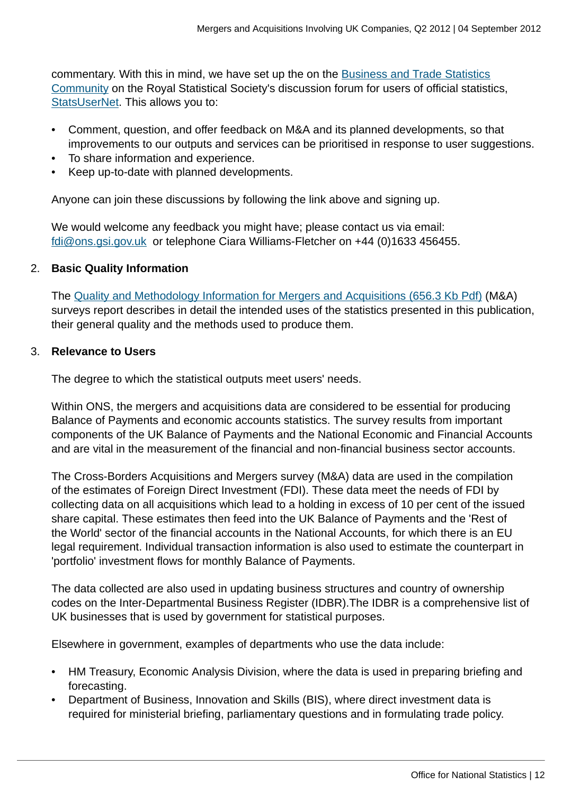commentary. With this in mind, we have set up the on the [Business and Trade Statistics](http://www.ons.gov.uk:80/ons/external-links/organisations/statsusernet/business-and-trade-statistics.html) [Community](http://www.ons.gov.uk:80/ons/external-links/organisations/statsusernet/business-and-trade-statistics.html) on the Royal Statistical Society's discussion forum for users of official statistics, [StatsUserNet.](http://www.ons.gov.uk:80/ons/external-links/organisations/statsusernet/statsusernet-home.html) This allows you to:

- Comment, question, and offer feedback on M&A and its planned developments, so that improvements to our outputs and services can be prioritised in response to user suggestions.
- To share information and experience.
- Keep up-to-date with planned developments.

Anyone can join these discussions by following the link above and signing up.

We would welcome any feedback you might have; please contact us via email: [fdi@ons.gsi.gov.uk](mailto:fdi@ons.gsi.gov.uk) or telephone Ciara Williams-Fletcher on +44 (0)1633 456455.

# 2. **Basic Quality Information**

The [Quality and Methodology Information for Mergers and Acquisitions \(656.3 Kb Pdf\)](http://www.ons.gov.uk:80/ons/guide-method/method-quality/quality/quality-information/business-statistics/quality-and-methodology-information-for-mergers-and-acquisitions--m-a--surveys-releases.pdf) (M&A) surveys report describes in detail the intended uses of the statistics presented in this publication, their general quality and the methods used to produce them.

## 3. **Relevance to Users**

The degree to which the statistical outputs meet users' needs.

Within ONS, the mergers and acquisitions data are considered to be essential for producing Balance of Payments and economic accounts statistics. The survey results from important components of the UK Balance of Payments and the National Economic and Financial Accounts and are vital in the measurement of the financial and non-financial business sector accounts.

The Cross-Borders Acquisitions and Mergers survey (M&A) data are used in the compilation of the estimates of Foreign Direct Investment (FDI). These data meet the needs of FDI by collecting data on all acquisitions which lead to a holding in excess of 10 per cent of the issued share capital. These estimates then feed into the UK Balance of Payments and the 'Rest of the World' sector of the financial accounts in the National Accounts, for which there is an EU legal requirement. Individual transaction information is also used to estimate the counterpart in 'portfolio' investment flows for monthly Balance of Payments.

The data collected are also used in updating business structures and country of ownership codes on the Inter-Departmental Business Register (IDBR).The IDBR is a comprehensive list of UK businesses that is used by government for statistical purposes.

Elsewhere in government, examples of departments who use the data include:

- HM Treasury, Economic Analysis Division, where the data is used in preparing briefing and forecasting.
- Department of Business, Innovation and Skills (BIS), where direct investment data is required for ministerial briefing, parliamentary questions and in formulating trade policy.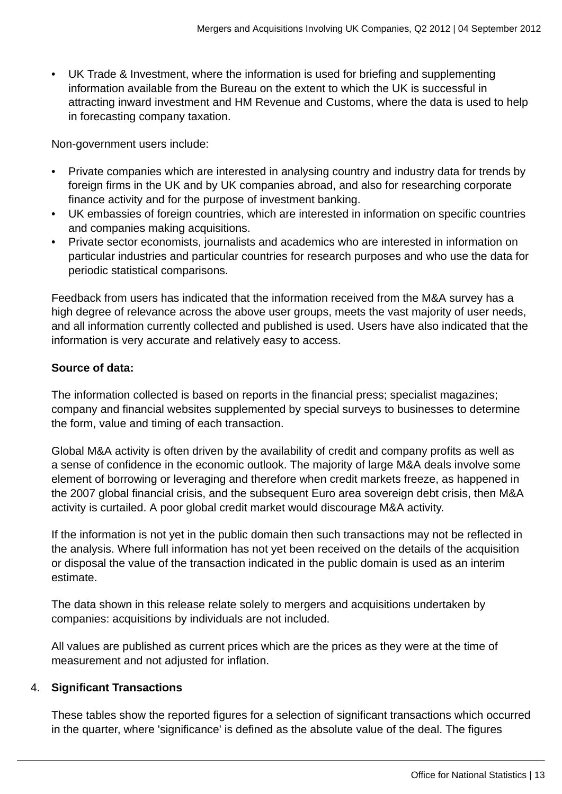• UK Trade & Investment, where the information is used for briefing and supplementing information available from the Bureau on the extent to which the UK is successful in attracting inward investment and HM Revenue and Customs, where the data is used to help in forecasting company taxation.

Non-government users include:

- Private companies which are interested in analysing country and industry data for trends by foreign firms in the UK and by UK companies abroad, and also for researching corporate finance activity and for the purpose of investment banking.
- UK embassies of foreign countries, which are interested in information on specific countries and companies making acquisitions.
- Private sector economists, journalists and academics who are interested in information on particular industries and particular countries for research purposes and who use the data for periodic statistical comparisons.

Feedback from users has indicated that the information received from the M&A survey has a high degree of relevance across the above user groups, meets the vast majority of user needs, and all information currently collected and published is used. Users have also indicated that the information is very accurate and relatively easy to access.

# **Source of data:**

The information collected is based on reports in the financial press; specialist magazines; company and financial websites supplemented by special surveys to businesses to determine the form, value and timing of each transaction.

Global M&A activity is often driven by the availability of credit and company profits as well as a sense of confidence in the economic outlook. The majority of large M&A deals involve some element of borrowing or leveraging and therefore when credit markets freeze, as happened in the 2007 global financial crisis, and the subsequent Euro area sovereign debt crisis, then M&A activity is curtailed. A poor global credit market would discourage M&A activity.

If the information is not yet in the public domain then such transactions may not be reflected in the analysis. Where full information has not yet been received on the details of the acquisition or disposal the value of the transaction indicated in the public domain is used as an interim estimate.

The data shown in this release relate solely to mergers and acquisitions undertaken by companies: acquisitions by individuals are not included.

All values are published as current prices which are the prices as they were at the time of measurement and not adjusted for inflation.

# 4. **Significant Transactions**

These tables show the reported figures for a selection of significant transactions which occurred in the quarter, where 'significance' is defined as the absolute value of the deal. The figures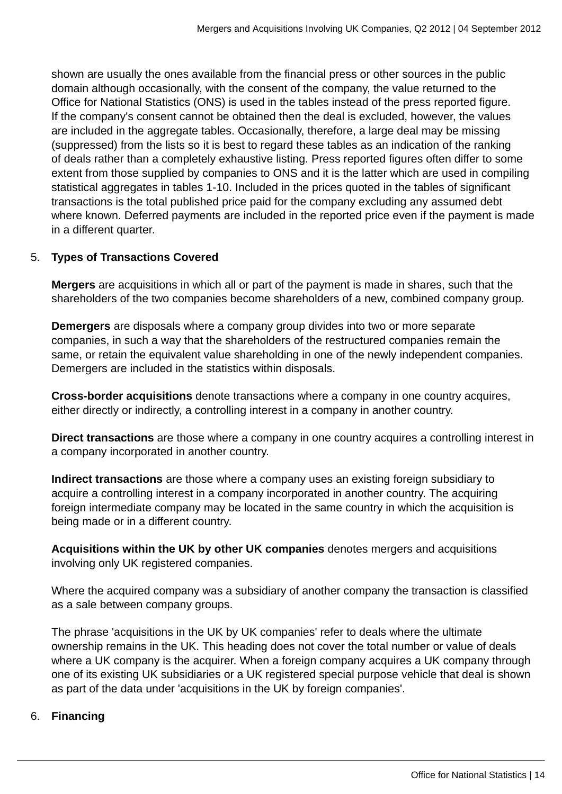shown are usually the ones available from the financial press or other sources in the public domain although occasionally, with the consent of the company, the value returned to the Office for National Statistics (ONS) is used in the tables instead of the press reported figure. If the company's consent cannot be obtained then the deal is excluded, however, the values are included in the aggregate tables. Occasionally, therefore, a large deal may be missing (suppressed) from the lists so it is best to regard these tables as an indication of the ranking of deals rather than a completely exhaustive listing. Press reported figures often differ to some extent from those supplied by companies to ONS and it is the latter which are used in compiling statistical aggregates in tables 1-10. Included in the prices quoted in the tables of significant transactions is the total published price paid for the company excluding any assumed debt where known. Deferred payments are included in the reported price even if the payment is made in a different quarter.

# 5. **Types of Transactions Covered**

**Mergers** are acquisitions in which all or part of the payment is made in shares, such that the shareholders of the two companies become shareholders of a new, combined company group.

**Demergers** are disposals where a company group divides into two or more separate companies, in such a way that the shareholders of the restructured companies remain the same, or retain the equivalent value shareholding in one of the newly independent companies. Demergers are included in the statistics within disposals.

**Cross-border acquisitions** denote transactions where a company in one country acquires, either directly or indirectly, a controlling interest in a company in another country.

**Direct transactions** are those where a company in one country acquires a controlling interest in a company incorporated in another country.

**Indirect transactions** are those where a company uses an existing foreign subsidiary to acquire a controlling interest in a company incorporated in another country. The acquiring foreign intermediate company may be located in the same country in which the acquisition is being made or in a different country.

**Acquisitions within the UK by other UK companies** denotes mergers and acquisitions involving only UK registered companies.

Where the acquired company was a subsidiary of another company the transaction is classified as a sale between company groups.

The phrase 'acquisitions in the UK by UK companies' refer to deals where the ultimate ownership remains in the UK. This heading does not cover the total number or value of deals where a UK company is the acquirer. When a foreign company acquires a UK company through one of its existing UK subsidiaries or a UK registered special purpose vehicle that deal is shown as part of the data under 'acquisitions in the UK by foreign companies'.

#### 6. **Financing**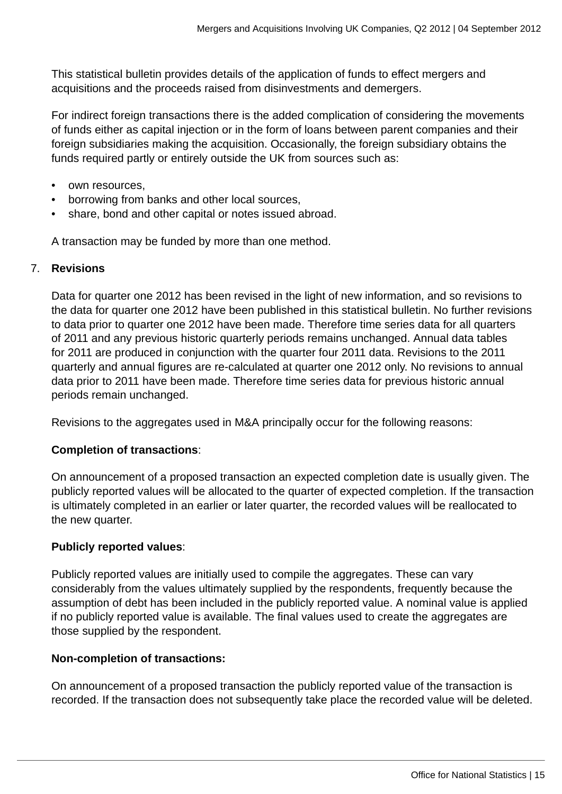This statistical bulletin provides details of the application of funds to effect mergers and acquisitions and the proceeds raised from disinvestments and demergers.

For indirect foreign transactions there is the added complication of considering the movements of funds either as capital injection or in the form of loans between parent companies and their foreign subsidiaries making the acquisition. Occasionally, the foreign subsidiary obtains the funds required partly or entirely outside the UK from sources such as:

- own resources,
- borrowing from banks and other local sources,
- share, bond and other capital or notes issued abroad.

A transaction may be funded by more than one method.

## 7. **Revisions**

Data for quarter one 2012 has been revised in the light of new information, and so revisions to the data for quarter one 2012 have been published in this statistical bulletin. No further revisions to data prior to quarter one 2012 have been made. Therefore time series data for all quarters of 2011 and any previous historic quarterly periods remains unchanged. Annual data tables for 2011 are produced in conjunction with the quarter four 2011 data. Revisions to the 2011 quarterly and annual figures are re-calculated at quarter one 2012 only. No revisions to annual data prior to 2011 have been made. Therefore time series data for previous historic annual periods remain unchanged.

Revisions to the aggregates used in M&A principally occur for the following reasons:

# **Completion of transactions**:

On announcement of a proposed transaction an expected completion date is usually given. The publicly reported values will be allocated to the quarter of expected completion. If the transaction is ultimately completed in an earlier or later quarter, the recorded values will be reallocated to the new quarter.

# **Publicly reported values**:

Publicly reported values are initially used to compile the aggregates. These can vary considerably from the values ultimately supplied by the respondents, frequently because the assumption of debt has been included in the publicly reported value. A nominal value is applied if no publicly reported value is available. The final values used to create the aggregates are those supplied by the respondent.

# **Non-completion of transactions:**

On announcement of a proposed transaction the publicly reported value of the transaction is recorded. If the transaction does not subsequently take place the recorded value will be deleted.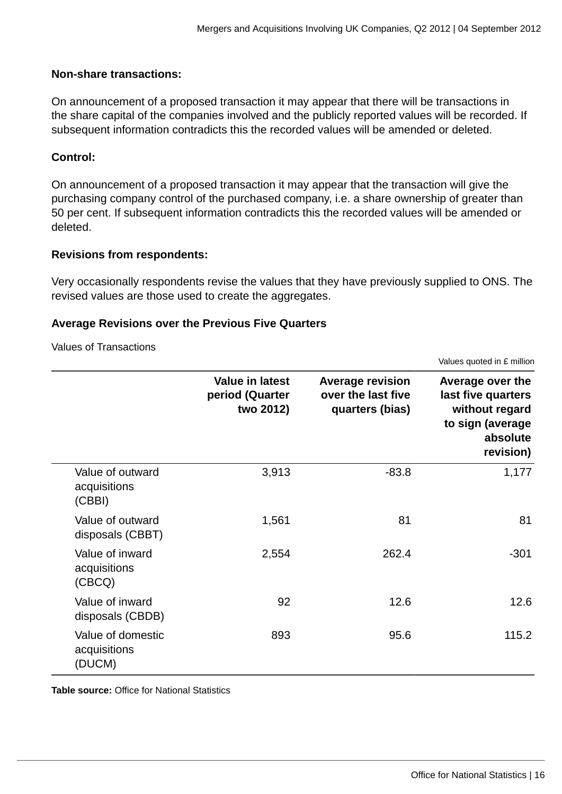## **Non-share transactions:**

On announcement of a proposed transaction it may appear that there will be transactions in the share capital of the companies involved and the publicly reported values will be recorded. If subsequent information contradicts this the recorded values will be amended or deleted.

# **Control:**

On announcement of a proposed transaction it may appear that the transaction will give the purchasing company control of the purchased company, i.e. a share ownership of greater than 50 per cent. If subsequent information contradicts this the recorded values will be amended or deleted.

## **Revisions from respondents:**

Very occasionally respondents revise the values that they have previously supplied to ONS. The revised values are those used to create the aggregates.

#### **Average Revisions over the Previous Five Quarters**

#### Values of Transactions

|                                             |                                                        |                                                                  | Values quoted in £ million                                                                            |
|---------------------------------------------|--------------------------------------------------------|------------------------------------------------------------------|-------------------------------------------------------------------------------------------------------|
|                                             | <b>Value in latest</b><br>period (Quarter<br>two 2012) | <b>Average revision</b><br>over the last five<br>quarters (bias) | Average over the<br>last five quarters<br>without regard<br>to sign (average<br>absolute<br>revision) |
| Value of outward<br>acquisitions<br>(CBBI)  | 3,913                                                  | $-83.8$                                                          | 1,177                                                                                                 |
| Value of outward<br>disposals (CBBT)        | 1,561                                                  | 81                                                               | 81                                                                                                    |
| Value of inward<br>acquisitions<br>(CBCQ)   | 2,554                                                  | 262.4                                                            | $-301$                                                                                                |
| Value of inward<br>disposals (CBDB)         | 92                                                     | 12.6                                                             | 12.6                                                                                                  |
| Value of domestic<br>acquisitions<br>(DUCM) | 893                                                    | 95.6                                                             | 115.2                                                                                                 |

**Table source:** Office for National Statistics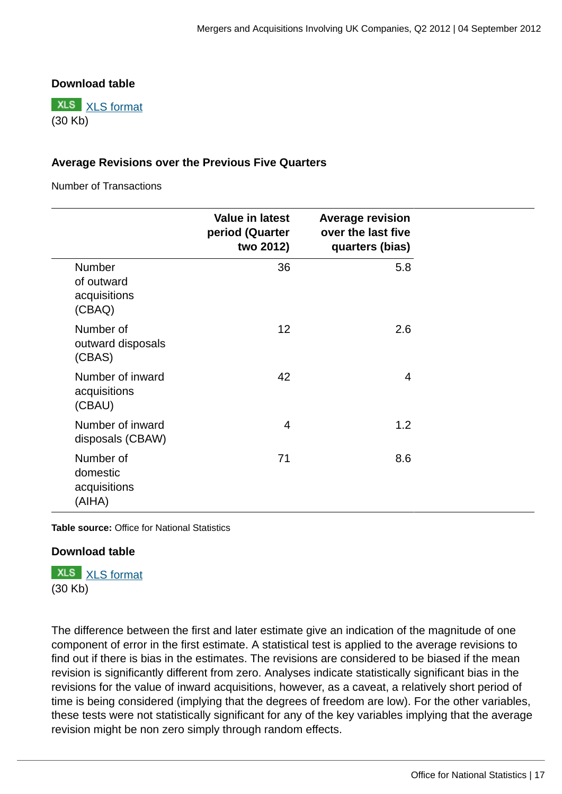# **Download table**

**XLS** [XLS format](http://www.ons.gov.uk:80/ons/rel/international-transactions/mergers-and-acquisitions-involving-uk-companies/q2-2012/prt-revisions-values.xls) (30 Kb)

# **Average Revisions over the Previous Five Quarters**

Number of Transactions

|                                                 | <b>Value in latest</b><br>period (Quarter<br>two 2012) | <b>Average revision</b><br>over the last five<br>quarters (bias) |
|-------------------------------------------------|--------------------------------------------------------|------------------------------------------------------------------|
| Number<br>of outward<br>acquisitions<br>(CBAQ)  | 36                                                     | 5.8                                                              |
| Number of<br>outward disposals<br>(CBAS)        | 12                                                     | 2.6                                                              |
| Number of inward<br>acquisitions<br>(CBAU)      | 42                                                     | 4                                                                |
| Number of inward<br>disposals (CBAW)            | 4                                                      | 1.2                                                              |
| Number of<br>domestic<br>acquisitions<br>(AIHA) | 71                                                     | 8.6                                                              |

**Table source:** Office for National Statistics

# **Download table**

**XLS** [XLS format](http://www.ons.gov.uk:80/ons/rel/international-transactions/mergers-and-acquisitions-involving-uk-companies/q2-2012/prt-revisions-numbers.xls) (30 Kb)

The difference between the first and later estimate give an indication of the magnitude of one component of error in the first estimate. A statistical test is applied to the average revisions to find out if there is bias in the estimates. The revisions are considered to be biased if the mean revision is significantly different from zero. Analyses indicate statistically significant bias in the revisions for the value of inward acquisitions, however, as a caveat, a relatively short period of time is being considered (implying that the degrees of freedom are low). For the other variables, these tests were not statistically significant for any of the key variables implying that the average revision might be non zero simply through random effects.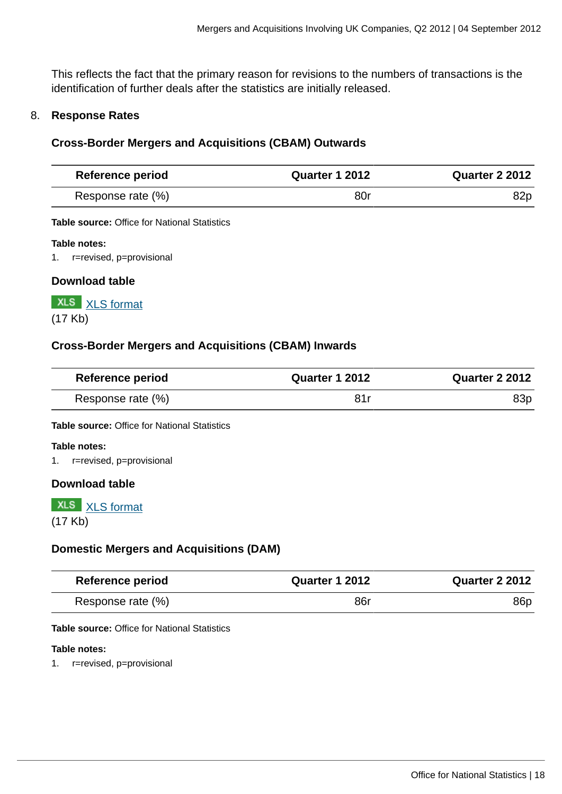This reflects the fact that the primary reason for revisions to the numbers of transactions is the identification of further deals after the statistics are initially released.

## 8. **Response Rates**

## **Cross-Border Mergers and Acquisitions (CBAM) Outwards**

| <b>Reference period</b> | <b>Quarter 1 2012</b> | <b>Quarter 2 2012</b> |
|-------------------------|-----------------------|-----------------------|
| Response rate (%)       | 80r                   | 82p                   |

**Table source:** Office for National Statistics

#### **Table notes:**

1. r=revised, p=provisional

#### **Download table**

**XLS** [XLS format](http://www.ons.gov.uk:80/ons/rel/international-transactions/mergers-and-acquisitions-involving-uk-companies/q2-2012/prt-outward-response.xls) (17 Kb)

# **Cross-Border Mergers and Acquisitions (CBAM) Inwards**

| <b>Reference period</b> | <b>Quarter 1 2012</b> | Quarter 2 2012 |
|-------------------------|-----------------------|----------------|
| Response rate (%)       |                       | 83p            |

**Table source:** Office for National Statistics

#### **Table notes:**

1. r=revised, p=provisional

#### **Download table**

# **XLS** [XLS format](http://www.ons.gov.uk:80/ons/rel/international-transactions/mergers-and-acquisitions-involving-uk-companies/q2-2012/prt-inward-response.xls) (17 Kb)

#### **Domestic Mergers and Acquisitions (DAM)**

| <b>Reference period</b> | <b>Quarter 1 2012</b> | Quarter 2 2012 |
|-------------------------|-----------------------|----------------|
| Response rate (%)       | 86r                   | 86p            |

**Table source:** Office for National Statistics

#### **Table notes:**

1. r=revised, p=provisional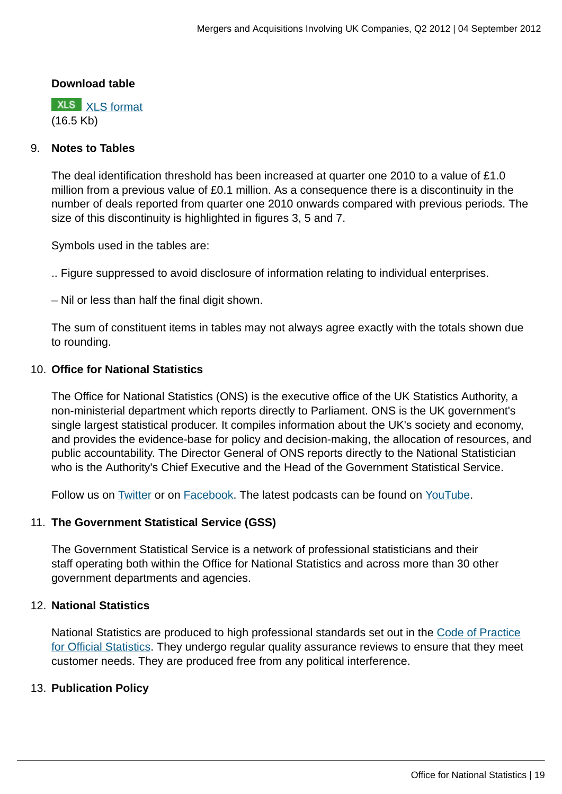#### **Download table**

**XLS** [XLS format](http://www.ons.gov.uk:80/ons/rel/international-transactions/mergers-and-acquisitions-involving-uk-companies/q2-2012/prt-domestic-response.xls) (16.5 Kb)

## 9. **Notes to Tables**

The deal identification threshold has been increased at quarter one 2010 to a value of £1.0 million from a previous value of £0.1 million. As a consequence there is a discontinuity in the number of deals reported from quarter one 2010 onwards compared with previous periods. The size of this discontinuity is highlighted in figures 3, 5 and 7.

Symbols used in the tables are:

.. Figure suppressed to avoid disclosure of information relating to individual enterprises.

– Nil or less than half the final digit shown.

The sum of constituent items in tables may not always agree exactly with the totals shown due to rounding.

## 10. **Office for National Statistics**

The Office for National Statistics (ONS) is the executive office of the UK Statistics Authority, a non-ministerial department which reports directly to Parliament. ONS is the UK government's single largest statistical producer. It compiles information about the UK's society and economy, and provides the evidence-base for policy and decision-making, the allocation of resources, and public accountability. The Director General of ONS reports directly to the National Statistician who is the Authority's Chief Executive and the Head of the Government Statistical Service.

Follow us on **Twitter or on [Facebook](http://www.ons.gov.uk:80/ons/external-links/social-media/index.html)**. The latest podcasts can be found on [YouTube](http://www.ons.gov.uk:80/ons/external-links/social-media/youtube.html).

# 11. **The Government Statistical Service (GSS)**

The Government Statistical Service is a network of professional statisticians and their staff operating both within the Office for National Statistics and across more than 30 other government departments and agencies.

#### 12. **National Statistics**

National Statistics are produced to high professional standards set out in the [Code of Practice](http://www.ons.gov.uk:80/ons/guide-method/the-national-statistics-standard/code-of-practice/index.html) [for Official Statistics](http://www.ons.gov.uk:80/ons/guide-method/the-national-statistics-standard/code-of-practice/index.html). They undergo regular quality assurance reviews to ensure that they meet customer needs. They are produced free from any political interference.

# 13. **Publication Policy**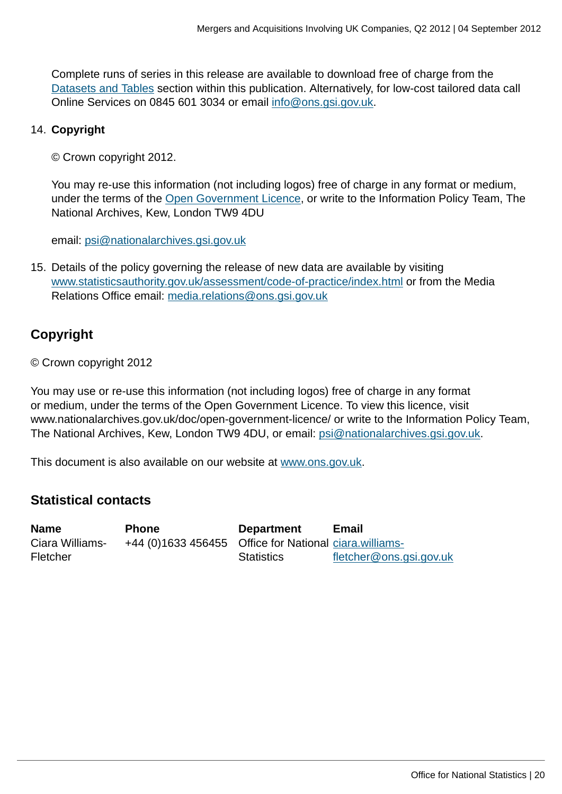Complete runs of series in this release are available to download free of charge from the [Datasets and Tables](http://www.ons.gov.uk:80/ons/rel/international-transactions/mergers-and-acquisitions-involving-uk-companies/q2-2012/dd-am-dataset.html) section within this publication. Alternatively, for low-cost tailored data call Online Services on 0845 601 3034 or email [info@ons.gsi.gov.uk](mailto:info@ons.gsi.gov.uk).

# 14. **Copyright**

© Crown copyright 2012.

You may re-use this information (not including logos) free of charge in any format or medium, under the terms of the [Open Government Licence](http://www.ons.gov.uk:80/ons/external-links/other-government-departments/national-archives/index.html), or write to the Information Policy Team, The National Archives, Kew, London TW9 4DU

email: [psi@nationalarchives.gsi.gov.uk](mailto:psi@nationalarchives.gsi.gov.uk)

15. Details of the policy governing the release of new data are available by visiting [www.statisticsauthority.gov.uk/assessment/code-of-practice/index.html](http://www.statisticsauthority.gov.uk/assessment/code-of-practice/index.html) or from the Media Relations Office email: [media.relations@ons.gsi.gov.uk](mailto:media.relations@ons.gsi.gov.uk)

# **Copyright**

© Crown copyright 2012

You may use or re-use this information (not including logos) free of charge in any format or medium, under the terms of the Open Government Licence. To view this licence, visit www.nationalarchives.gov.uk/doc/open-government-licence/ or write to the Information Policy Team, The National Archives, Kew, London TW9 4DU, or email: [psi@nationalarchives.gsi.gov.uk](mailto:psi@nationalarchives.gsi.gov.uk).

This document is also available on our website at [www.ons.gov.uk.](http://www.ons.gov.uk/)

# **Statistical contacts**

**Name Phone Department Email** Ciara Williams-Fletcher +44 (0)1633 456455 Office for National [ciara.williams-](mailto:ciara.williams-fletcher@ons.gsi.gov.uk)**Statistics** [fletcher@ons.gsi.gov.uk](mailto:ciara.williams-fletcher@ons.gsi.gov.uk)